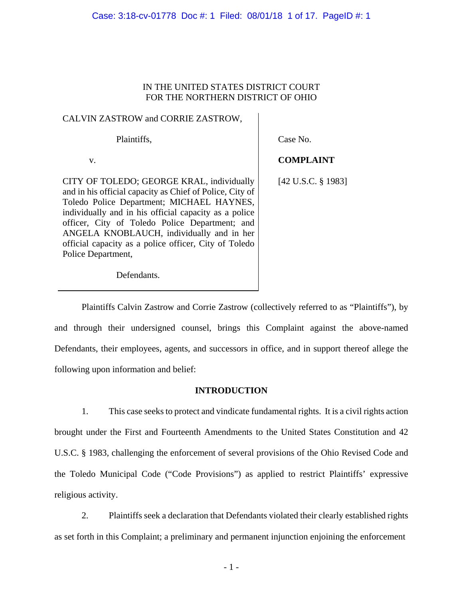# IN THE UNITED STATES DISTRICT COURT FOR THE NORTHERN DISTRICT OF OHIO

# CALVIN ZASTROW and CORRIE ZASTROW,

Plaintiffs,

Case No.

 v. CITY OF TOLEDO; GEORGE KRAL, individually and in his official capacity as Chief of Police, City of Toledo Police Department; MICHAEL HAYNES, individually and in his official capacity as a police officer, City of Toledo Police Department; and ANGELA KNOBLAUCH, individually and in her official capacity as a police officer, City of Toledo Police Department, **COMPLAINT** 

Defendants.

[42 U.S.C. § 1983]

Plaintiffs Calvin Zastrow and Corrie Zastrow (collectively referred to as "Plaintiffs"), by and through their undersigned counsel, brings this Complaint against the above-named Defendants, their employees, agents, and successors in office, and in support thereof allege the following upon information and belief:

# **INTRODUCTION**

1. This case seeks to protect and vindicate fundamental rights. It is a civil rights action brought under the First and Fourteenth Amendments to the United States Constitution and 42 U.S.C. § 1983, challenging the enforcement of several provisions of the Ohio Revised Code and the Toledo Municipal Code ("Code Provisions") as applied to restrict Plaintiffs' expressive religious activity.

2. Plaintiffs seek a declaration that Defendants violated their clearly established rights as set forth in this Complaint; a preliminary and permanent injunction enjoining the enforcement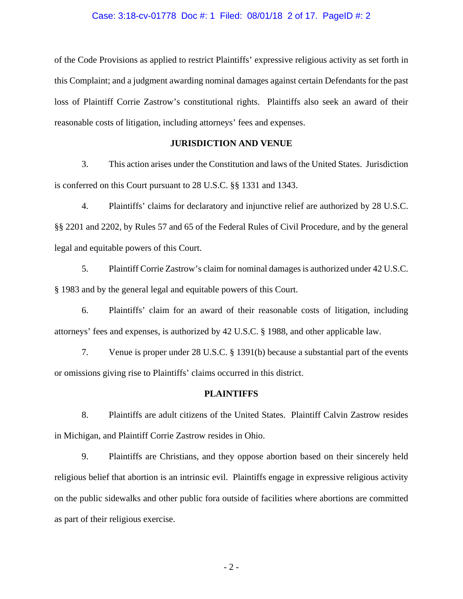#### Case: 3:18-cv-01778 Doc #: 1 Filed: 08/01/18 2 of 17. PageID #: 2

of the Code Provisions as applied to restrict Plaintiffs' expressive religious activity as set forth in this Complaint; and a judgment awarding nominal damages against certain Defendants for the past loss of Plaintiff Corrie Zastrow's constitutional rights. Plaintiffs also seek an award of their reasonable costs of litigation, including attorneys' fees and expenses.

## **JURISDICTION AND VENUE**

3. This action arises under the Constitution and laws of the United States. Jurisdiction is conferred on this Court pursuant to 28 U.S.C. §§ 1331 and 1343.

4. Plaintiffs' claims for declaratory and injunctive relief are authorized by 28 U.S.C. §§ 2201 and 2202, by Rules 57 and 65 of the Federal Rules of Civil Procedure, and by the general legal and equitable powers of this Court.

5. Plaintiff Corrie Zastrow's claim for nominal damages is authorized under 42 U.S.C. § 1983 and by the general legal and equitable powers of this Court.

6. Plaintiffs' claim for an award of their reasonable costs of litigation, including attorneys' fees and expenses, is authorized by 42 U.S.C. § 1988, and other applicable law.

7. Venue is proper under 28 U.S.C. § 1391(b) because a substantial part of the events or omissions giving rise to Plaintiffs' claims occurred in this district.

### **PLAINTIFFS**

8. Plaintiffs are adult citizens of the United States. Plaintiff Calvin Zastrow resides in Michigan, and Plaintiff Corrie Zastrow resides in Ohio.

9. Plaintiffs are Christians, and they oppose abortion based on their sincerely held religious belief that abortion is an intrinsic evil. Plaintiffs engage in expressive religious activity on the public sidewalks and other public fora outside of facilities where abortions are committed as part of their religious exercise.

- 2 -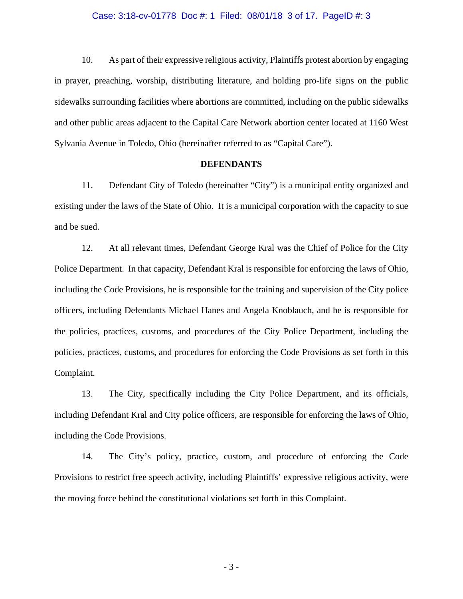### Case: 3:18-cv-01778 Doc #: 1 Filed: 08/01/18 3 of 17. PageID #: 3

10. As part of their expressive religious activity, Plaintiffs protest abortion by engaging in prayer, preaching, worship, distributing literature, and holding pro-life signs on the public sidewalks surrounding facilities where abortions are committed, including on the public sidewalks and other public areas adjacent to the Capital Care Network abortion center located at 1160 West Sylvania Avenue in Toledo, Ohio (hereinafter referred to as "Capital Care").

### **DEFENDANTS**

11. Defendant City of Toledo (hereinafter "City") is a municipal entity organized and existing under the laws of the State of Ohio. It is a municipal corporation with the capacity to sue and be sued.

12. At all relevant times, Defendant George Kral was the Chief of Police for the City Police Department. In that capacity, Defendant Kral is responsible for enforcing the laws of Ohio, including the Code Provisions, he is responsible for the training and supervision of the City police officers, including Defendants Michael Hanes and Angela Knoblauch, and he is responsible for the policies, practices, customs, and procedures of the City Police Department, including the policies, practices, customs, and procedures for enforcing the Code Provisions as set forth in this Complaint.

13. The City, specifically including the City Police Department, and its officials, including Defendant Kral and City police officers, are responsible for enforcing the laws of Ohio, including the Code Provisions.

14. The City's policy, practice, custom, and procedure of enforcing the Code Provisions to restrict free speech activity, including Plaintiffs' expressive religious activity, were the moving force behind the constitutional violations set forth in this Complaint.

- 3 -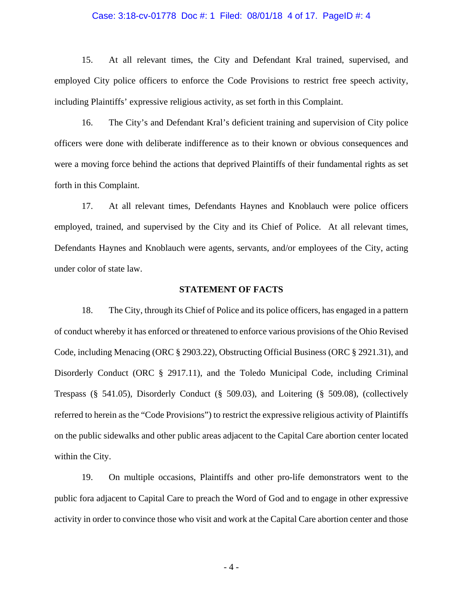### Case: 3:18-cv-01778 Doc #: 1 Filed: 08/01/18 4 of 17. PageID #: 4

15. At all relevant times, the City and Defendant Kral trained, supervised, and employed City police officers to enforce the Code Provisions to restrict free speech activity, including Plaintiffs' expressive religious activity, as set forth in this Complaint.

16. The City's and Defendant Kral's deficient training and supervision of City police officers were done with deliberate indifference as to their known or obvious consequences and were a moving force behind the actions that deprived Plaintiffs of their fundamental rights as set forth in this Complaint.

17. At all relevant times, Defendants Haynes and Knoblauch were police officers employed, trained, and supervised by the City and its Chief of Police. At all relevant times, Defendants Haynes and Knoblauch were agents, servants, and/or employees of the City, acting under color of state law.

### **STATEMENT OF FACTS**

18. The City, through its Chief of Police and its police officers, has engaged in a pattern of conduct whereby it has enforced or threatened to enforce various provisions of the Ohio Revised Code, including Menacing (ORC § 2903.22), Obstructing Official Business (ORC § 2921.31), and Disorderly Conduct (ORC § 2917.11), and the Toledo Municipal Code, including Criminal Trespass (§ 541.05), Disorderly Conduct (§ 509.03), and Loitering (§ 509.08), (collectively referred to herein as the "Code Provisions") to restrict the expressive religious activity of Plaintiffs on the public sidewalks and other public areas adjacent to the Capital Care abortion center located within the City.

19. On multiple occasions, Plaintiffs and other pro-life demonstrators went to the public fora adjacent to Capital Care to preach the Word of God and to engage in other expressive activity in order to convince those who visit and work at the Capital Care abortion center and those

- 4 -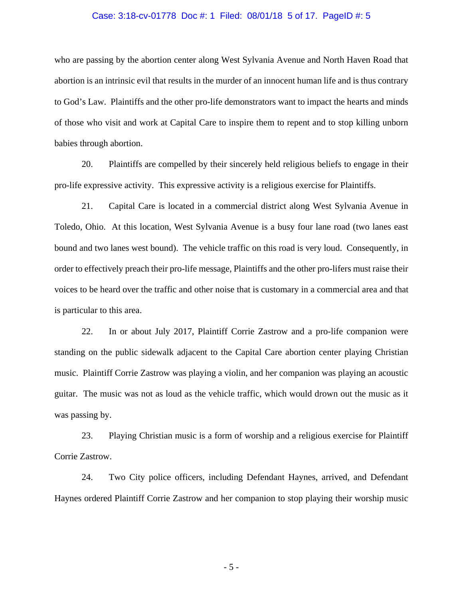#### Case: 3:18-cv-01778 Doc #: 1 Filed: 08/01/18 5 of 17. PageID #: 5

who are passing by the abortion center along West Sylvania Avenue and North Haven Road that abortion is an intrinsic evil that results in the murder of an innocent human life and is thus contrary to God's Law. Plaintiffs and the other pro-life demonstrators want to impact the hearts and minds of those who visit and work at Capital Care to inspire them to repent and to stop killing unborn babies through abortion.

20. Plaintiffs are compelled by their sincerely held religious beliefs to engage in their pro-life expressive activity. This expressive activity is a religious exercise for Plaintiffs.

21. Capital Care is located in a commercial district along West Sylvania Avenue in Toledo, Ohio. At this location, West Sylvania Avenue is a busy four lane road (two lanes east bound and two lanes west bound). The vehicle traffic on this road is very loud. Consequently, in order to effectively preach their pro-life message, Plaintiffs and the other pro-lifers must raise their voices to be heard over the traffic and other noise that is customary in a commercial area and that is particular to this area.

22. In or about July 2017, Plaintiff Corrie Zastrow and a pro-life companion were standing on the public sidewalk adjacent to the Capital Care abortion center playing Christian music. Plaintiff Corrie Zastrow was playing a violin, and her companion was playing an acoustic guitar. The music was not as loud as the vehicle traffic, which would drown out the music as it was passing by.

23. Playing Christian music is a form of worship and a religious exercise for Plaintiff Corrie Zastrow.

24. Two City police officers, including Defendant Haynes, arrived, and Defendant Haynes ordered Plaintiff Corrie Zastrow and her companion to stop playing their worship music

- 5 -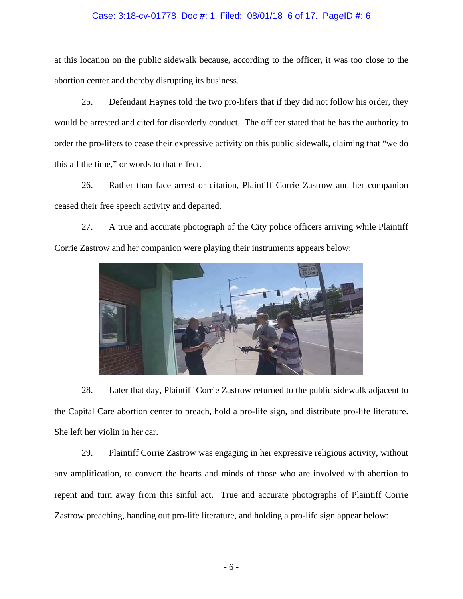### Case: 3:18-cv-01778 Doc #: 1 Filed: 08/01/18 6 of 17. PageID #: 6

at this location on the public sidewalk because, according to the officer, it was too close to the abortion center and thereby disrupting its business.

25. Defendant Haynes told the two pro-lifers that if they did not follow his order, they would be arrested and cited for disorderly conduct. The officer stated that he has the authority to order the pro-lifers to cease their expressive activity on this public sidewalk, claiming that "we do this all the time," or words to that effect.

26. Rather than face arrest or citation, Plaintiff Corrie Zastrow and her companion ceased their free speech activity and departed.

27. A true and accurate photograph of the City police officers arriving while Plaintiff Corrie Zastrow and her companion were playing their instruments appears below:



28. Later that day, Plaintiff Corrie Zastrow returned to the public sidewalk adjacent to the Capital Care abortion center to preach, hold a pro-life sign, and distribute pro-life literature. She left her violin in her car.

29. Plaintiff Corrie Zastrow was engaging in her expressive religious activity, without any amplification, to convert the hearts and minds of those who are involved with abortion to repent and turn away from this sinful act. True and accurate photographs of Plaintiff Corrie Zastrow preaching, handing out pro-life literature, and holding a pro-life sign appear below: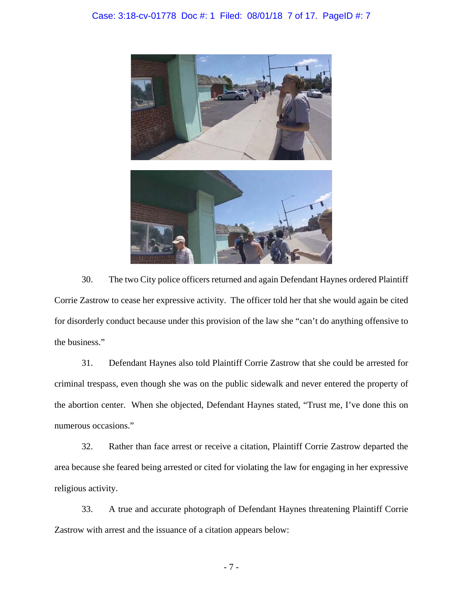Case: 3:18-cv-01778 Doc #: 1 Filed: 08/01/18 7 of 17. PageID #: 7



30. The two City police officers returned and again Defendant Haynes ordered Plaintiff Corrie Zastrow to cease her expressive activity. The officer told her that she would again be cited for disorderly conduct because under this provision of the law she "can't do anything offensive to the business."

31. Defendant Haynes also told Plaintiff Corrie Zastrow that she could be arrested for criminal trespass, even though she was on the public sidewalk and never entered the property of the abortion center. When she objected, Defendant Haynes stated, "Trust me, I've done this on numerous occasions."

32. Rather than face arrest or receive a citation, Plaintiff Corrie Zastrow departed the area because she feared being arrested or cited for violating the law for engaging in her expressive religious activity.

33. A true and accurate photograph of Defendant Haynes threatening Plaintiff Corrie Zastrow with arrest and the issuance of a citation appears below: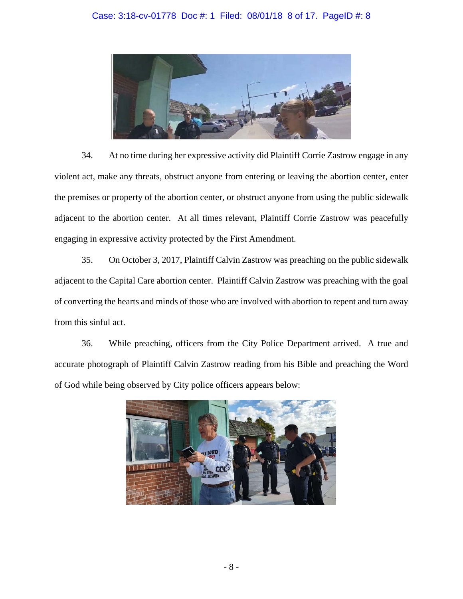

34. At no time during her expressive activity did Plaintiff Corrie Zastrow engage in any violent act, make any threats, obstruct anyone from entering or leaving the abortion center, enter the premises or property of the abortion center, or obstruct anyone from using the public sidewalk adjacent to the abortion center. At all times relevant, Plaintiff Corrie Zastrow was peacefully engaging in expressive activity protected by the First Amendment.

35. On October 3, 2017, Plaintiff Calvin Zastrow was preaching on the public sidewalk adjacent to the Capital Care abortion center. Plaintiff Calvin Zastrow was preaching with the goal of converting the hearts and minds of those who are involved with abortion to repent and turn away from this sinful act.

36. While preaching, officers from the City Police Department arrived. A true and accurate photograph of Plaintiff Calvin Zastrow reading from his Bible and preaching the Word of God while being observed by City police officers appears below:

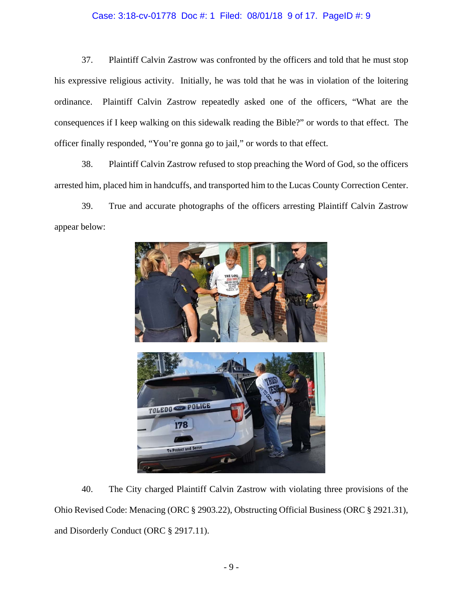## Case: 3:18-cv-01778 Doc #: 1 Filed: 08/01/18 9 of 17. PageID #: 9

37. Plaintiff Calvin Zastrow was confronted by the officers and told that he must stop his expressive religious activity. Initially, he was told that he was in violation of the loitering ordinance. Plaintiff Calvin Zastrow repeatedly asked one of the officers, "What are the consequences if I keep walking on this sidewalk reading the Bible?" or words to that effect. The officer finally responded, "You're gonna go to jail," or words to that effect.

38. Plaintiff Calvin Zastrow refused to stop preaching the Word of God, so the officers arrested him, placed him in handcuffs, and transported him to the Lucas County Correction Center.

39. True and accurate photographs of the officers arresting Plaintiff Calvin Zastrow appear below:



40. The City charged Plaintiff Calvin Zastrow with violating three provisions of the Ohio Revised Code: Menacing (ORC § 2903.22), Obstructing Official Business (ORC § 2921.31), and Disorderly Conduct (ORC § 2917.11).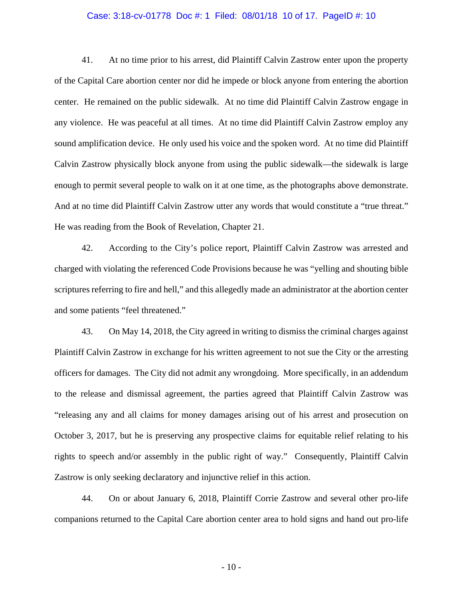#### Case: 3:18-cv-01778 Doc #: 1 Filed: 08/01/18 10 of 17. PageID #: 10

41. At no time prior to his arrest, did Plaintiff Calvin Zastrow enter upon the property of the Capital Care abortion center nor did he impede or block anyone from entering the abortion center. He remained on the public sidewalk. At no time did Plaintiff Calvin Zastrow engage in any violence. He was peaceful at all times. At no time did Plaintiff Calvin Zastrow employ any sound amplification device. He only used his voice and the spoken word. At no time did Plaintiff Calvin Zastrow physically block anyone from using the public sidewalk—the sidewalk is large enough to permit several people to walk on it at one time, as the photographs above demonstrate. And at no time did Plaintiff Calvin Zastrow utter any words that would constitute a "true threat." He was reading from the Book of Revelation, Chapter 21.

42. According to the City's police report, Plaintiff Calvin Zastrow was arrested and charged with violating the referenced Code Provisions because he was "yelling and shouting bible scriptures referring to fire and hell," and this allegedly made an administrator at the abortion center and some patients "feel threatened."

43. On May 14, 2018, the City agreed in writing to dismiss the criminal charges against Plaintiff Calvin Zastrow in exchange for his written agreement to not sue the City or the arresting officers for damages. The City did not admit any wrongdoing. More specifically, in an addendum to the release and dismissal agreement, the parties agreed that Plaintiff Calvin Zastrow was "releasing any and all claims for money damages arising out of his arrest and prosecution on October 3, 2017, but he is preserving any prospective claims for equitable relief relating to his rights to speech and/or assembly in the public right of way." Consequently, Plaintiff Calvin Zastrow is only seeking declaratory and injunctive relief in this action.

44. On or about January 6, 2018, Plaintiff Corrie Zastrow and several other pro-life companions returned to the Capital Care abortion center area to hold signs and hand out pro-life

- 10 -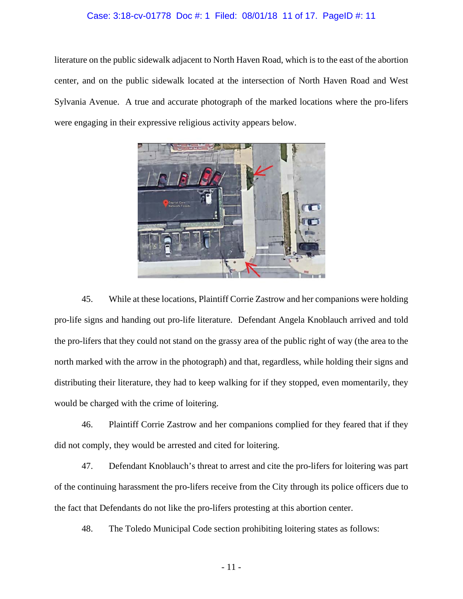### Case: 3:18-cv-01778 Doc #: 1 Filed: 08/01/18 11 of 17. PageID #: 11

literature on the public sidewalk adjacent to North Haven Road, which is to the east of the abortion center, and on the public sidewalk located at the intersection of North Haven Road and West Sylvania Avenue. A true and accurate photograph of the marked locations where the pro-lifers were engaging in their expressive religious activity appears below.



45. While at these locations, Plaintiff Corrie Zastrow and her companions were holding pro-life signs and handing out pro-life literature. Defendant Angela Knoblauch arrived and told the pro-lifers that they could not stand on the grassy area of the public right of way (the area to the north marked with the arrow in the photograph) and that, regardless, while holding their signs and distributing their literature, they had to keep walking for if they stopped, even momentarily, they would be charged with the crime of loitering.

46. Plaintiff Corrie Zastrow and her companions complied for they feared that if they did not comply, they would be arrested and cited for loitering.

47. Defendant Knoblauch's threat to arrest and cite the pro-lifers for loitering was part of the continuing harassment the pro-lifers receive from the City through its police officers due to the fact that Defendants do not like the pro-lifers protesting at this abortion center.

48. The Toledo Municipal Code section prohibiting loitering states as follows: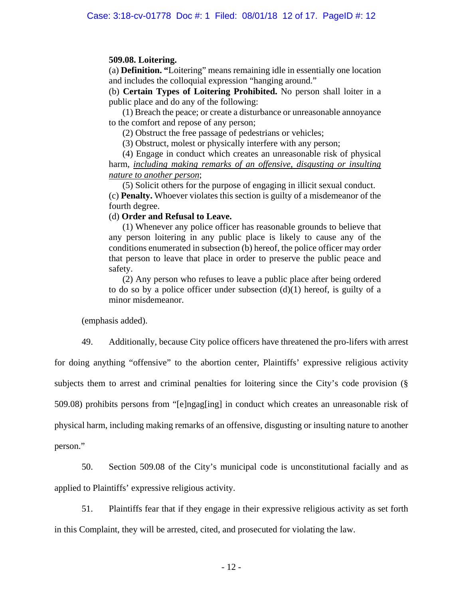## **509.08. Loitering.**

(a) **Definition. "**Loitering" means remaining idle in essentially one location and includes the colloquial expression "hanging around."

(b) **Certain Types of Loitering Prohibited.** No person shall loiter in a public place and do any of the following:

(1) Breach the peace; or create a disturbance or unreasonable annoyance to the comfort and repose of any person;

(2) Obstruct the free passage of pedestrians or vehicles;

(3) Obstruct, molest or physically interfere with any person;

(4) Engage in conduct which creates an unreasonable risk of physical harm, *including making remarks of an offensive, disgusting or insulting nature to another person*;

(5) Solicit others for the purpose of engaging in illicit sexual conduct. (c) **Penalty.** Whoever violates this section is guilty of a misdemeanor of the fourth degree.

## (d) **Order and Refusal to Leave.**

(1) Whenever any police officer has reasonable grounds to believe that any person loitering in any public place is likely to cause any of the conditions enumerated in subsection (b) hereof, the police officer may order that person to leave that place in order to preserve the public peace and safety.

(2) Any person who refuses to leave a public place after being ordered to do so by a police officer under subsection  $(d)(1)$  hereof, is guilty of a minor misdemeanor.

(emphasis added).

49. Additionally, because City police officers have threatened the pro-lifers with arrest

for doing anything "offensive" to the abortion center, Plaintiffs' expressive religious activity subjects them to arrest and criminal penalties for loitering since the City's code provision (§ 509.08) prohibits persons from "[e]ngag[ing] in conduct which creates an unreasonable risk of physical harm, including making remarks of an offensive, disgusting or insulting nature to another person."

50. Section 509.08 of the City's municipal code is unconstitutional facially and as applied to Plaintiffs' expressive religious activity.

51. Plaintiffs fear that if they engage in their expressive religious activity as set forth in this Complaint, they will be arrested, cited, and prosecuted for violating the law.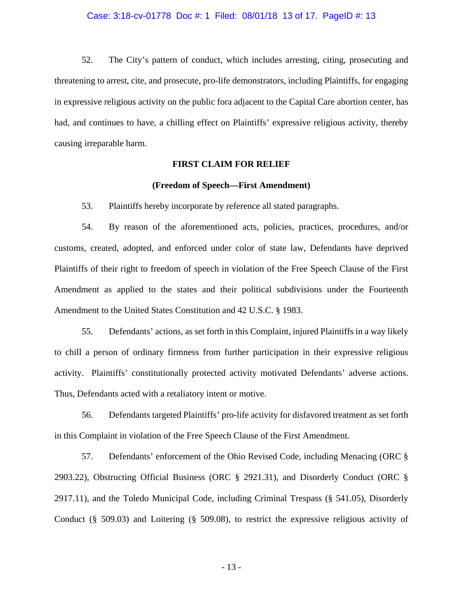#### Case: 3:18-cv-01778 Doc #: 1 Filed: 08/01/18 13 of 17. PageID #: 13

52. The City's pattern of conduct, which includes arresting, citing, prosecuting and threatening to arrest, cite, and prosecute, pro-life demonstrators, including Plaintiffs, for engaging in expressive religious activity on the public fora adjacent to the Capital Care abortion center, has had, and continues to have, a chilling effect on Plaintiffs' expressive religious activity, thereby causing irreparable harm.

### **FIRST CLAIM FOR RELIEF**

### **(Freedom of Speech—First Amendment)**

53. Plaintiffs hereby incorporate by reference all stated paragraphs.

54. By reason of the aforementioned acts, policies, practices, procedures, and/or customs, created, adopted, and enforced under color of state law, Defendants have deprived Plaintiffs of their right to freedom of speech in violation of the Free Speech Clause of the First Amendment as applied to the states and their political subdivisions under the Fourteenth Amendment to the United States Constitution and 42 U.S.C. § 1983.

55. Defendants' actions, as set forth in this Complaint, injured Plaintiffs in a way likely to chill a person of ordinary firmness from further participation in their expressive religious activity. Plaintiffs' constitutionally protected activity motivated Defendants' adverse actions. Thus, Defendants acted with a retaliatory intent or motive.

56. Defendants targeted Plaintiffs' pro-life activity for disfavored treatment as set forth in this Complaint in violation of the Free Speech Clause of the First Amendment.

57. Defendants' enforcement of the Ohio Revised Code, including Menacing (ORC § 2903.22), Obstructing Official Business (ORC § 2921.31), and Disorderly Conduct (ORC § 2917.11), and the Toledo Municipal Code, including Criminal Trespass (§ 541.05), Disorderly Conduct (§ 509.03) and Loitering (§ 509.08), to restrict the expressive religious activity of

- 13 -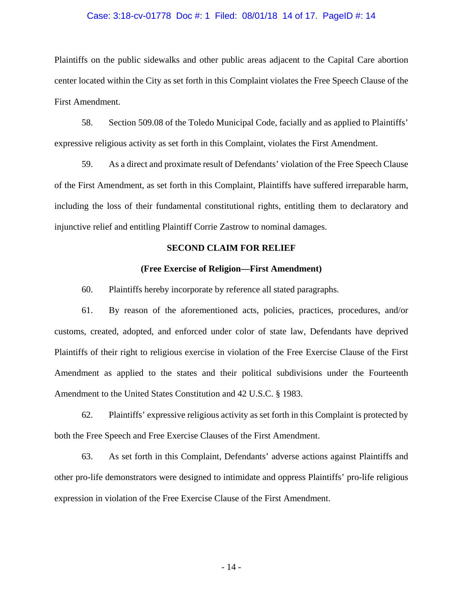#### Case: 3:18-cv-01778 Doc #: 1 Filed: 08/01/18 14 of 17. PageID #: 14

Plaintiffs on the public sidewalks and other public areas adjacent to the Capital Care abortion center located within the City as set forth in this Complaint violates the Free Speech Clause of the First Amendment.

58. Section 509.08 of the Toledo Municipal Code, facially and as applied to Plaintiffs' expressive religious activity as set forth in this Complaint, violates the First Amendment.

59. As a direct and proximate result of Defendants' violation of the Free Speech Clause of the First Amendment, as set forth in this Complaint, Plaintiffs have suffered irreparable harm, including the loss of their fundamental constitutional rights, entitling them to declaratory and injunctive relief and entitling Plaintiff Corrie Zastrow to nominal damages.

### **SECOND CLAIM FOR RELIEF**

#### **(Free Exercise of Religion—First Amendment)**

60. Plaintiffs hereby incorporate by reference all stated paragraphs.

61. By reason of the aforementioned acts, policies, practices, procedures, and/or customs, created, adopted, and enforced under color of state law, Defendants have deprived Plaintiffs of their right to religious exercise in violation of the Free Exercise Clause of the First Amendment as applied to the states and their political subdivisions under the Fourteenth Amendment to the United States Constitution and 42 U.S.C. § 1983.

62. Plaintiffs' expressive religious activity as set forth in this Complaint is protected by both the Free Speech and Free Exercise Clauses of the First Amendment.

63. As set forth in this Complaint, Defendants' adverse actions against Plaintiffs and other pro-life demonstrators were designed to intimidate and oppress Plaintiffs' pro-life religious expression in violation of the Free Exercise Clause of the First Amendment.

- 14 -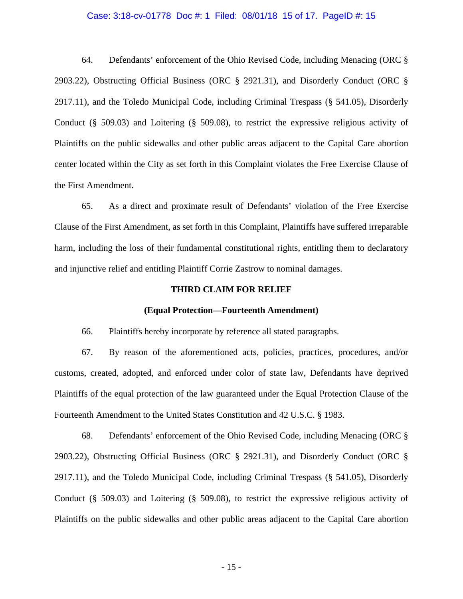### Case: 3:18-cv-01778 Doc #: 1 Filed: 08/01/18 15 of 17. PageID #: 15

64. Defendants' enforcement of the Ohio Revised Code, including Menacing (ORC § 2903.22), Obstructing Official Business (ORC § 2921.31), and Disorderly Conduct (ORC § 2917.11), and the Toledo Municipal Code, including Criminal Trespass (§ 541.05), Disorderly Conduct (§ 509.03) and Loitering (§ 509.08), to restrict the expressive religious activity of Plaintiffs on the public sidewalks and other public areas adjacent to the Capital Care abortion center located within the City as set forth in this Complaint violates the Free Exercise Clause of the First Amendment.

65. As a direct and proximate result of Defendants' violation of the Free Exercise Clause of the First Amendment, as set forth in this Complaint, Plaintiffs have suffered irreparable harm, including the loss of their fundamental constitutional rights, entitling them to declaratory and injunctive relief and entitling Plaintiff Corrie Zastrow to nominal damages.

### **THIRD CLAIM FOR RELIEF**

#### **(Equal Protection—Fourteenth Amendment)**

66. Plaintiffs hereby incorporate by reference all stated paragraphs.

67. By reason of the aforementioned acts, policies, practices, procedures, and/or customs, created, adopted, and enforced under color of state law, Defendants have deprived Plaintiffs of the equal protection of the law guaranteed under the Equal Protection Clause of the Fourteenth Amendment to the United States Constitution and 42 U.S.C. § 1983.

68. Defendants' enforcement of the Ohio Revised Code, including Menacing (ORC § 2903.22), Obstructing Official Business (ORC § 2921.31), and Disorderly Conduct (ORC § 2917.11), and the Toledo Municipal Code, including Criminal Trespass (§ 541.05), Disorderly Conduct (§ 509.03) and Loitering (§ 509.08), to restrict the expressive religious activity of Plaintiffs on the public sidewalks and other public areas adjacent to the Capital Care abortion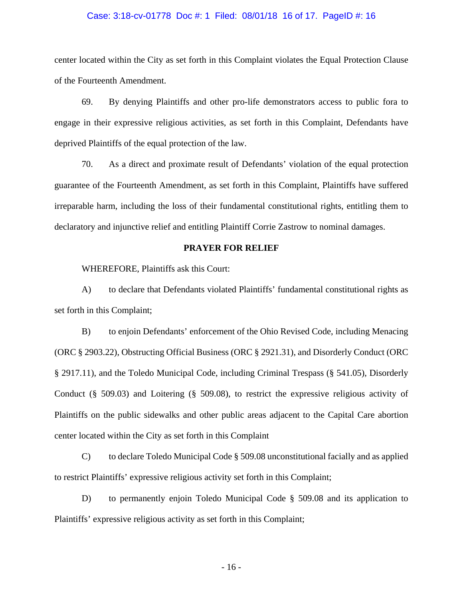#### Case: 3:18-cv-01778 Doc #: 1 Filed: 08/01/18 16 of 17. PageID #: 16

center located within the City as set forth in this Complaint violates the Equal Protection Clause of the Fourteenth Amendment.

69. By denying Plaintiffs and other pro-life demonstrators access to public fora to engage in their expressive religious activities, as set forth in this Complaint, Defendants have deprived Plaintiffs of the equal protection of the law.

70. As a direct and proximate result of Defendants' violation of the equal protection guarantee of the Fourteenth Amendment, as set forth in this Complaint, Plaintiffs have suffered irreparable harm, including the loss of their fundamental constitutional rights, entitling them to declaratory and injunctive relief and entitling Plaintiff Corrie Zastrow to nominal damages.

### **PRAYER FOR RELIEF**

WHEREFORE, Plaintiffs ask this Court:

A) to declare that Defendants violated Plaintiffs' fundamental constitutional rights as set forth in this Complaint;

B) to enjoin Defendants' enforcement of the Ohio Revised Code, including Menacing (ORC § 2903.22), Obstructing Official Business (ORC § 2921.31), and Disorderly Conduct (ORC § 2917.11), and the Toledo Municipal Code, including Criminal Trespass (§ 541.05), Disorderly Conduct (§ 509.03) and Loitering (§ 509.08), to restrict the expressive religious activity of Plaintiffs on the public sidewalks and other public areas adjacent to the Capital Care abortion center located within the City as set forth in this Complaint

C) to declare Toledo Municipal Code § 509.08 unconstitutional facially and as applied to restrict Plaintiffs' expressive religious activity set forth in this Complaint;

D) to permanently enjoin Toledo Municipal Code § 509.08 and its application to Plaintiffs' expressive religious activity as set forth in this Complaint;